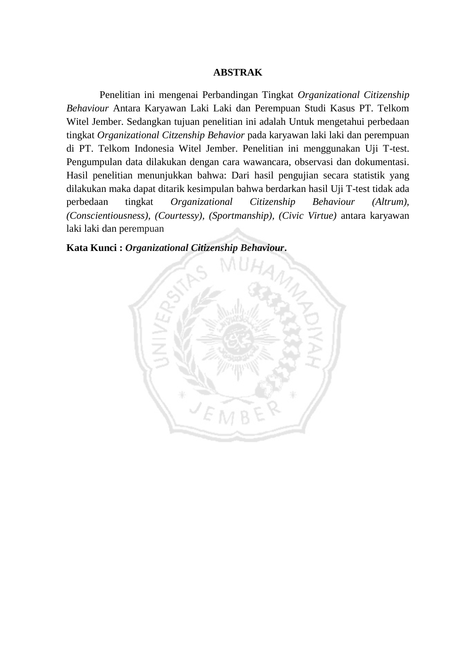## **ABSTRAK**

Penelitian ini mengenai Perbandingan Tingkat *Organizational Citizenship Behaviour* Antara Karyawan Laki Laki dan Perempuan Studi Kasus PT. Telkom Witel Jember. Sedangkan tujuan penelitian ini adalah Untuk mengetahui perbedaan tingkat *Organizational Citzenship Behavior* pada karyawan laki laki dan perempuan di PT. Telkom Indonesia Witel Jember. Penelitian ini menggunakan Uji T-test. Pengumpulan data dilakukan dengan cara wawancara, observasi dan dokumentasi. Hasil penelitian menunjukkan bahwa: Dari hasil pengujian secara statistik yang dilakukan maka dapat ditarik kesimpulan bahwa berdarkan hasil Uji T-test tidak ada perbedaan tingkat *Organizational Citizenship Behaviour (Altrum), (Conscientiousness), (Courtessy), (Sportmanship), (Civic Virtue)* antara karyawan laki laki dan perempuan

**Kata Kunci :** *Organizational Citizenship Behaviour***.**